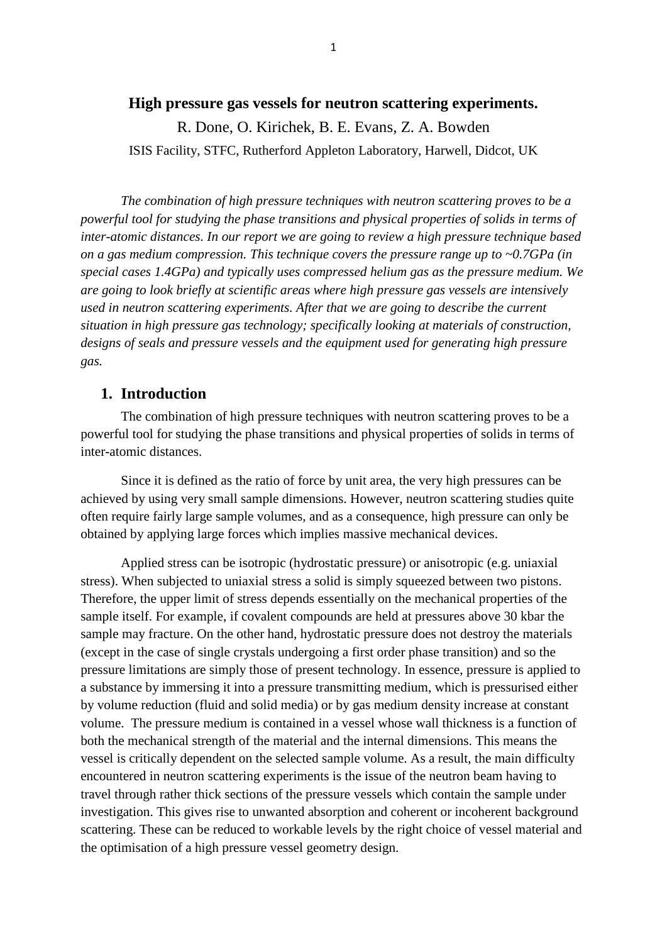### **High pressure gas vessels for neutron scattering experiments.**

R. Done, O. Kirichek, B. E. Evans, Z. A. Bowden ISIS Facility, STFC, Rutherford Appleton Laboratory, Harwell, Didcot, UK

*The combination of high pressure techniques with neutron scattering proves to be a powerful tool for studying the phase transitions and physical properties of solids in terms of inter-atomic distances. In our report we are going to review a high pressure technique based on a gas medium compression. This technique covers the pressure range up to ~0.7GPa (in special cases 1.4GPa) and typically uses compressed helium gas as the pressure medium. We are going to look briefly at scientific areas where high pressure gas vessels are intensively used in neutron scattering experiments. After that we are going to describe the current situation in high pressure gas technology; specifically looking at materials of construction, designs of seals and pressure vessels and the equipment used for generating high pressure gas.*

## **1. Introduction**

The combination of high pressure techniques with neutron scattering proves to be a powerful tool for studying the phase transitions and physical properties of solids in terms of inter-atomic distances.

Since it is defined as the ratio of force by unit area, the very high pressures can be achieved by using very small sample dimensions. However, neutron scattering studies quite often require fairly large sample volumes, and as a consequence, high pressure can only be obtained by applying large forces which implies massive mechanical devices.

Applied stress can be isotropic (hydrostatic pressure) or anisotropic (e.g. uniaxial stress). When subjected to uniaxial stress a solid is simply squeezed between two pistons. Therefore, the upper limit of stress depends essentially on the mechanical properties of the sample itself. For example, if covalent compounds are held at pressures above 30 kbar the sample may fracture. On the other hand, hydrostatic pressure does not destroy the materials (except in the case of single crystals undergoing a first order phase transition) and so the pressure limitations are simply those of present technology. In essence, pressure is applied to a substance by immersing it into a pressure transmitting medium, which is pressurised either by volume reduction (fluid and solid media) or by gas medium density increase at constant volume. The pressure medium is contained in a vessel whose wall thickness is a function of both the mechanical strength of the material and the internal dimensions. This means the vessel is critically dependent on the selected sample volume. As a result, the main difficulty encountered in neutron scattering experiments is the issue of the neutron beam having to travel through rather thick sections of the pressure vessels which contain the sample under investigation. This gives rise to unwanted absorption and coherent or incoherent background scattering. These can be reduced to workable levels by the right choice of vessel material and the optimisation of a high pressure vessel geometry design.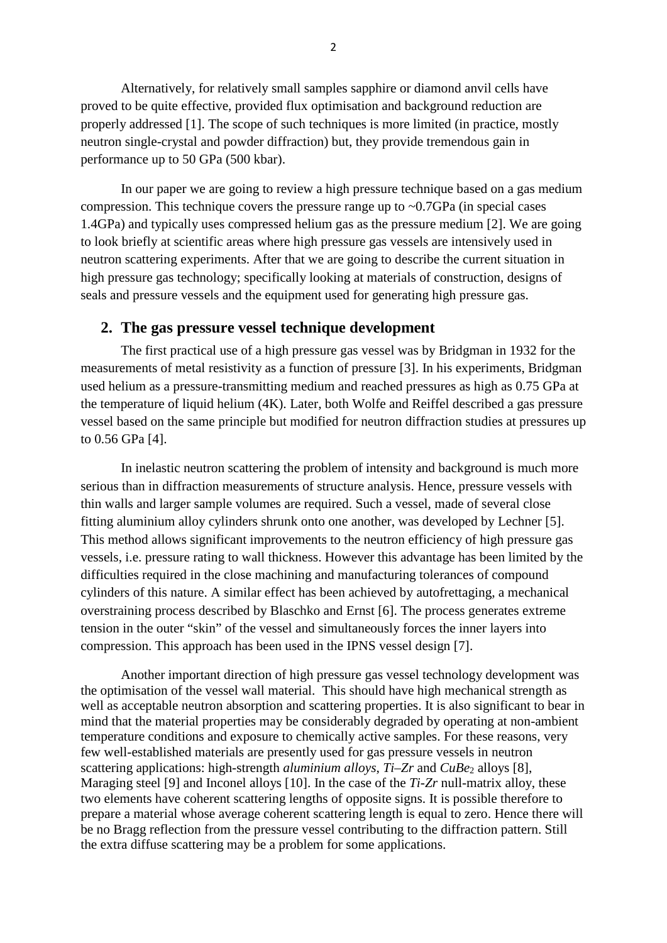Alternatively, for relatively small samples sapphire or diamond anvil cells have proved to be quite effective, provided flux optimisation and background reduction are properly addressed [1]. The scope of such techniques is more limited (in practice, mostly neutron single-crystal and powder diffraction) but, they provide tremendous gain in performance up to 50 GPa (500 kbar).

In our paper we are going to review a high pressure technique based on a gas medium compression. This technique covers the pressure range up to  $\sim 0.7\text{GPa}$  (in special cases 1.4GPa) and typically uses compressed helium gas as the pressure medium [2]. We are going to look briefly at scientific areas where high pressure gas vessels are intensively used in neutron scattering experiments. After that we are going to describe the current situation in high pressure gas technology; specifically looking at materials of construction, designs of seals and pressure vessels and the equipment used for generating high pressure gas.

## **2. The gas pressure vessel technique development**

The first practical use of a high pressure gas vessel was by Bridgman in 1932 for the measurements of metal resistivity as a function of pressure [3]. In his experiments, Bridgman used helium as a pressure-transmitting medium and reached pressures as high as 0.75 GPa at the temperature of liquid helium (4K). Later, both Wolfe and Reiffel described a gas pressure vessel based on the same principle but modified for neutron diffraction studies at pressures up to 0.56 GPa [4].

In inelastic neutron scattering the problem of intensity and background is much more serious than in diffraction measurements of structure analysis. Hence, pressure vessels with thin walls and larger sample volumes are required. Such a vessel, made of several close fitting aluminium alloy cylinders shrunk onto one another, was developed by Lechner [5]. This method allows significant improvements to the neutron efficiency of high pressure gas vessels, i.e. pressure rating to wall thickness. However this advantage has been limited by the difficulties required in the close machining and manufacturing tolerances of compound cylinders of this nature. A similar effect has been achieved by autofrettaging, a mechanical overstraining process described by Blaschko and Ernst [6]. The process generates extreme tension in the outer "skin" of the vessel and simultaneously forces the inner layers into compression. This approach has been used in the IPNS vessel design [7].

Another important direction of high pressure gas vessel technology development was the optimisation of the vessel wall material. This should have high mechanical strength as well as acceptable neutron absorption and scattering properties. It is also significant to bear in mind that the material properties may be considerably degraded by operating at non-ambient temperature conditions and exposure to chemically active samples. For these reasons, very few well-established materials are presently used for gas pressure vessels in neutron scattering applications: high-strength *aluminium alloys*,  $Ti-Zr$  and  $CuBe<sub>2</sub>$  alloys [8], Maraging steel [9] and Inconel alloys [10]. In the case of the *Ti-Zr* null-matrix alloy, these two elements have coherent scattering lengths of opposite signs. It is possible therefore to prepare a material whose average coherent scattering length is equal to zero. Hence there will be no Bragg reflection from the pressure vessel contributing to the diffraction pattern. Still the extra diffuse scattering may be a problem for some applications.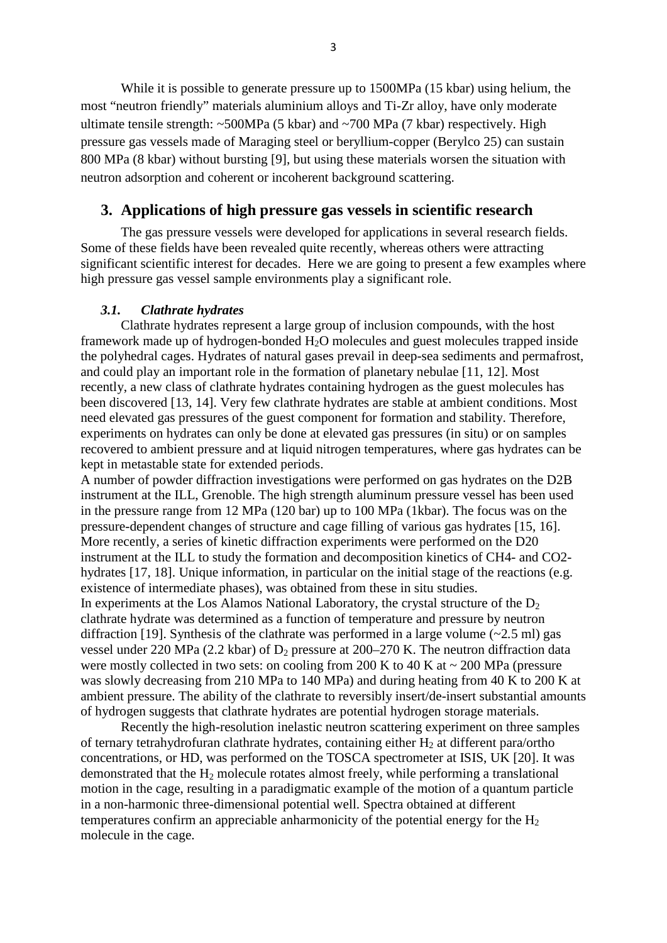While it is possible to generate pressure up to 1500MPa (15 kbar) using helium, the most "neutron friendly" materials aluminium alloys and Ti-Zr alloy, have only moderate ultimate tensile strength: ~500MPa (5 kbar) and ~700 MPa (7 kbar) respectively. High pressure gas vessels made of Maraging steel or beryllium-copper (Berylco 25) can sustain 800 MPa (8 kbar) without bursting [9], but using these materials worsen the situation with neutron adsorption and coherent or incoherent background scattering.

# **3. Applications of high pressure gas vessels in scientific research**

The gas pressure vessels were developed for applications in several research fields. Some of these fields have been revealed quite recently, whereas others were attracting significant scientific interest for decades. Here we are going to present a few examples where high pressure gas vessel sample environments play a significant role.

#### *3.1. Clathrate hydrates*

Clathrate hydrates represent a large group of inclusion compounds, with the host framework made up of hydrogen-bonded  $H_2O$  molecules and guest molecules trapped inside the polyhedral cages. Hydrates of natural gases prevail in deep-sea sediments and permafrost, and could play an important role in the formation of planetary nebulae [11, 12]. Most recently, a new class of clathrate hydrates containing hydrogen as the guest molecules has been discovered [13, 14]. Very few clathrate hydrates are stable at ambient conditions. Most need elevated gas pressures of the guest component for formation and stability. Therefore, experiments on hydrates can only be done at elevated gas pressures (in situ) or on samples recovered to ambient pressure and at liquid nitrogen temperatures, where gas hydrates can be kept in metastable state for extended periods.

A number of powder diffraction investigations were performed on gas hydrates on the D2B instrument at the ILL, Grenoble. The high strength aluminum pressure vessel has been used in the pressure range from 12 MPa (120 bar) up to 100 MPa (1kbar). The focus was on the pressure-dependent changes of structure and cage filling of various gas hydrates [15, 16]. More recently, a series of kinetic diffraction experiments were performed on the D20 instrument at the ILL to study the formation and decomposition kinetics of CH4- and CO2 hydrates [17, 18]. Unique information, in particular on the initial stage of the reactions (e.g. existence of intermediate phases), was obtained from these in situ studies. In experiments at the Los Alamos National Laboratory, the crystal structure of the  $D_2$ clathrate hydrate was determined as a function of temperature and pressure by neutron diffraction [19]. Synthesis of the clathrate was performed in a large volume (~2*.*5 ml) gas vessel under 220 MPa (2.2 kbar) of  $D_2$  pressure at 200–270 K. The neutron diffraction data were mostly collected in two sets: on cooling from 200 K to 40 K at  $\sim$  200 MPa (pressure was slowly decreasing from 210 MPa to 140 MPa) and during heating from 40 K to 200 K at ambient pressure. The ability of the clathrate to reversibly insert/de-insert substantial amounts of hydrogen suggests that clathrate hydrates are potential hydrogen storage materials.

Recently the high-resolution inelastic neutron scattering experiment on three samples of ternary tetrahydrofuran clathrate hydrates, containing either  $H_2$  at different para/ortho concentrations, or HD, was performed on the TOSCA spectrometer at ISIS, UK [20]. It was demonstrated that the  $H_2$  molecule rotates almost freely, while performing a translational motion in the cage, resulting in a paradigmatic example of the motion of a quantum particle in a non-harmonic three-dimensional potential well. Spectra obtained at different temperatures confirm an appreciable anharmonicity of the potential energy for the  $H_2$ molecule in the cage.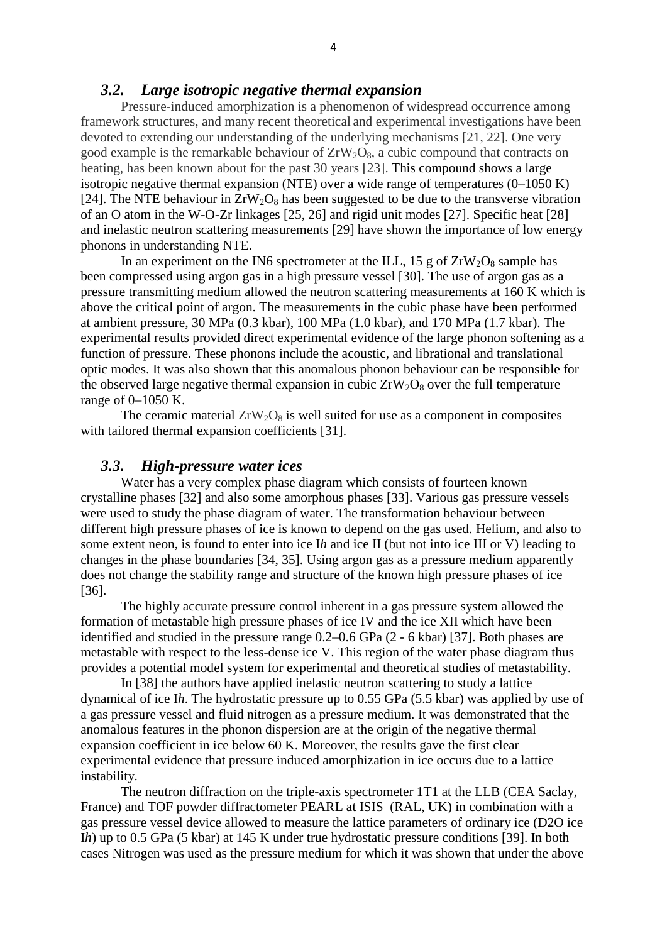# *3.2. Large isotropic negative thermal expansion*

Pressure-induced amorphization is a phenomenon of widespread occurrence among framework structures, and many recent theoretical and experimental investigations have been devoted to extending our understanding of the underlying mechanisms [21, 22]. One very good example is the remarkable behaviour of  $ZrW_2O_8$ , a cubic compound that contracts on heating, has been known about for the past 30 years [23]. This compound shows a large isotropic negative thermal expansion (NTE) over a wide range of temperatures  $(0-1050 \text{ K})$ [24]. The NTE behaviour in  $ZrW_2O_8$  has been suggested to be due to the transverse vibration of an O atom in the W-O-Zr linkages [25, 26] and rigid unit modes [27]. Specific heat [28] and inelastic neutron scattering measurements [29] have shown the importance of low energy phonons in understanding NTE.

In an experiment on the IN6 spectrometer at the ILL,  $15 \text{ g}$  of  $ZrW_2O_8$  sample has been compressed using argon gas in a high pressure vessel [30]. The use of argon gas as a pressure transmitting medium allowed the neutron scattering measurements at 160 K which is above the critical point of argon. The measurements in the cubic phase have been performed at ambient pressure, 30 MPa (0.3 kbar), 100 MPa (1.0 kbar), and 170 MPa (1.7 kbar). The experimental results provided direct experimental evidence of the large phonon softening as a function of pressure. These phonons include the acoustic, and librational and translational optic modes. It was also shown that this anomalous phonon behaviour can be responsible for the observed large negative thermal expansion in cubic  $ZrW_2O_8$  over the full temperature range of 0–1050 K.

The ceramic material  $ZrW_2O_8$  is well suited for use as a component in composites with tailored thermal expansion coefficients [31].

## *3.3. High-pressure water ices*

Water has a very complex phase diagram which consists of fourteen known crystalline phases [32] and also some amorphous phases [33]. Various gas pressure vessels were used to study the phase diagram of water. The transformation behaviour between different high pressure phases of ice is known to depend on the gas used. Helium, and also to some extent neon, is found to enter into ice I*h* and ice II (but not into ice III or V) leading to changes in the phase boundaries [34, 35]. Using argon gas as a pressure medium apparently does not change the stability range and structure of the known high pressure phases of ice [36].

The highly accurate pressure control inherent in a gas pressure system allowed the formation of metastable high pressure phases of ice IV and the ice XII which have been identified and studied in the pressure range 0.2–0.6 GPa (2 - 6 kbar) [37]. Both phases are metastable with respect to the less-dense ice V. This region of the water phase diagram thus provides a potential model system for experimental and theoretical studies of metastability.

In [38] the authors have applied inelastic neutron scattering to study a lattice dynamical of ice I*h*. The hydrostatic pressure up to 0.55 GPa (5.5 kbar) was applied by use of a gas pressure vessel and fluid nitrogen as a pressure medium. It was demonstrated that the anomalous features in the phonon dispersion are at the origin of the negative thermal expansion coefficient in ice below 60 K. Moreover, the results gave the first clear experimental evidence that pressure induced amorphization in ice occurs due to a lattice instability.

The neutron diffraction on the triple-axis spectrometer 1T1 at the LLB (CEA Saclay, France) and TOF powder diffractometer PEARL at ISIS (RAL, UK) in combination with a gas pressure vessel device allowed to measure the lattice parameters of ordinary ice (D2O ice I*h*) up to 0.5 GPa (5 kbar) at 145 K under true hydrostatic pressure conditions [39]. In both cases Nitrogen was used as the pressure medium for which it was shown that under the above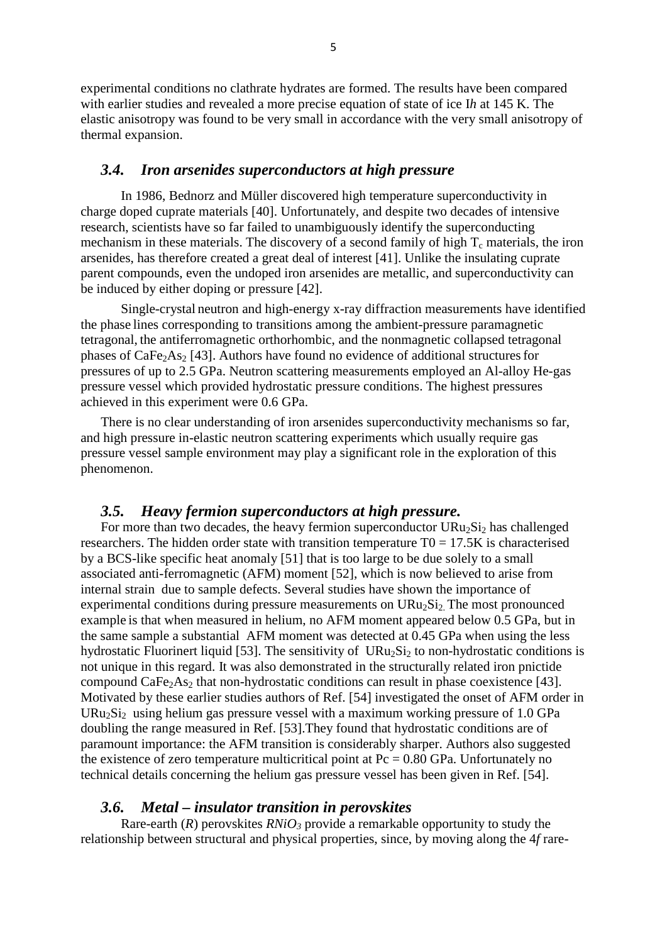experimental conditions no clathrate hydrates are formed. The results have been compared with earlier studies and revealed a more precise equation of state of ice I*h* at 145 K. The elastic anisotropy was found to be very small in accordance with the very small anisotropy of thermal expansion.

## *3.4. Iron arsenides superconductors at high pressure*

In 1986, Bednorz and Müller discovered high temperature superconductivity in charge doped cuprate materials [40]. Unfortunately, and despite two decades of intensive research, scientists have so far failed to unambiguously identify the superconducting mechanism in these materials. The discovery of a second family of high  $T_c$  materials, the iron arsenides, has therefore created a great deal of interest [41]. Unlike the insulating cuprate parent compounds, even the undoped iron arsenides are metallic, and superconductivity can be induced by either doping or pressure [42].

Single-crystal neutron and high-energy x-ray diffraction measurements have identified the phase lines corresponding to transitions among the ambient-pressure paramagnetic tetragonal, the antiferromagnetic orthorhombic, and the nonmagnetic collapsed tetragonal phases of  $CaFe<sub>2</sub>As<sub>2</sub>$  [43]. Authors have found no evidence of additional structures for pressures of up to 2.5 GPa. Neutron scattering measurements employed an Al-alloy He-gas pressure vessel which provided hydrostatic pressure conditions. The highest pressures achieved in this experiment were 0.6 GPa.

There is no clear understanding of iron arsenides superconductivity mechanisms so far, and high pressure in-elastic neutron scattering experiments which usually require gas pressure vessel sample environment may play a significant role in the exploration of this phenomenon.

## *3.5. Heavy fermion superconductors at high pressure.*

For more than two decades, the heavy fermion superconductor  $URu<sub>2</sub>Si<sub>2</sub>$  has challenged researchers. The hidden order state with transition temperature  $T0 = 17.5K$  is characterised by a BCS-like specific heat anomaly [51] that is too large to be due solely to a small associated anti-ferromagnetic (AFM) moment [52], which is now believed to arise from internal strain due to sample defects. Several studies have shown the importance of experimental conditions during pressure measurements on  $URu<sub>2</sub>Si<sub>2</sub>$ . The most pronounced example is that when measured in helium, no AFM moment appeared below 0.5 GPa, but in the same sample a substantial AFM moment was detected at 0.45 GPa when using the less hydrostatic Fluorinert liquid [53]. The sensitivity of  $URu_2Si_2$  to non-hydrostatic conditions is not unique in this regard. It was also demonstrated in the structurally related iron pnictide compound  $CaFe<sub>2</sub>As<sub>2</sub>$  that non-hydrostatic conditions can result in phase coexistence [43]. Motivated by these earlier studies authors of Ref. [54] investigated the onset of AFM order in URu<sub>2</sub>Si<sub>2</sub> using helium gas pressure vessel with a maximum working pressure of 1.0 GPa doubling the range measured in Ref. [53].They found that hydrostatic conditions are of paramount importance: the AFM transition is considerably sharper. Authors also suggested the existence of zero temperature multicritical point at  $Pc = 0.80$  GPa. Unfortunately no technical details concerning the helium gas pressure vessel has been given in Ref. [54].

#### *3.6. Metal – insulator transition in perovskites*

Rare-earth  $(R)$  perovskites  $RNiO<sub>3</sub>$  provide a remarkable opportunity to study the relationship between structural and physical properties, since, by moving along the 4*f* rare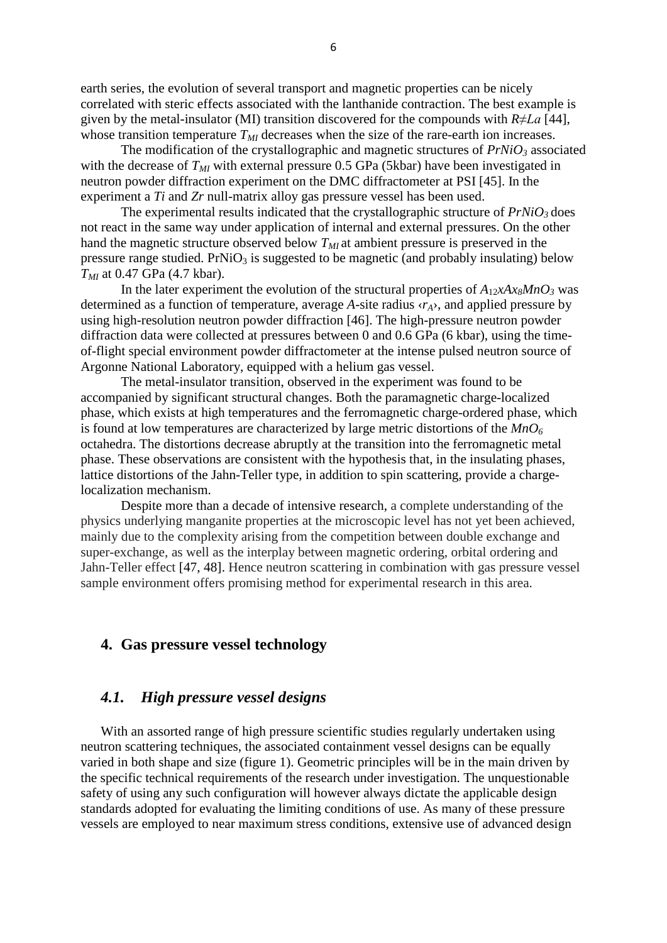earth series, the evolution of several transport and magnetic properties can be nicely correlated with steric effects associated with the lanthanide contraction. The best example is given by the metal-insulator (MI) transition discovered for the compounds with *R≠La* [44], whose transition temperature  $T_{MI}$  decreases when the size of the rare-earth ion increases.

The modification of the crystallographic and magnetic structures of  $PrNiO<sub>3</sub>$  associated with the decrease of  $T_M$  with external pressure 0.5 GPa (5kbar) have been investigated in neutron powder diffraction experiment on the DMC diffractometer at PSI [45]. In the experiment a *Ti* and *Zr* null-matrix alloy gas pressure vessel has been used.

The experimental results indicated that the crystallographic structure of  $PrNiO<sub>3</sub>$  does not react in the same way under application of internal and external pressures. On the other hand the magnetic structure observed below  $T_{MI}$  at ambient pressure is preserved in the pressure range studied.  $PrNiO<sub>3</sub>$  is suggested to be magnetic (and probably insulating) below *TMI* at 0.47 GPa (4.7 kbar).

In the later experiment the evolution of the structural properties of  $A_{12}xAx_8MnO_3$  was determined as a function of temperature, average *A*-site radius ‹*rA*›, and applied pressure by using high-resolution neutron powder diffraction [46]. The high-pressure neutron powder diffraction data were collected at pressures between 0 and 0.6 GPa (6 kbar), using the timeof-flight special environment powder diffractometer at the intense pulsed neutron source of Argonne National Laboratory, equipped with a helium gas vessel.

The metal-insulator transition, observed in the experiment was found to be accompanied by significant structural changes. Both the paramagnetic charge-localized phase, which exists at high temperatures and the ferromagnetic charge-ordered phase, which is found at low temperatures are characterized by large metric distortions of the  $MnO<sub>6</sub>$ octahedra. The distortions decrease abruptly at the transition into the ferromagnetic metal phase. These observations are consistent with the hypothesis that, in the insulating phases, lattice distortions of the Jahn-Teller type, in addition to spin scattering, provide a chargelocalization mechanism.

Despite more than a decade of intensive research, a complete understanding of the physics underlying manganite properties at the microscopic level has not yet been achieved, mainly due to the complexity arising from the competition between double exchange and super-exchange, as well as the interplay between magnetic ordering, orbital ordering and Jahn-Teller effect [47, 48]. Hence neutron scattering in combination with gas pressure vessel sample environment offers promising method for experimental research in this area.

### **4. Gas pressure vessel technology**

## *4.1. High pressure vessel designs*

With an assorted range of high pressure scientific studies regularly undertaken using neutron scattering techniques, the associated containment vessel designs can be equally varied in both shape and size (figure 1). Geometric principles will be in the main driven by the specific technical requirements of the research under investigation. The unquestionable safety of using any such configuration will however always dictate the applicable design standards adopted for evaluating the limiting conditions of use. As many of these pressure vessels are employed to near maximum stress conditions, extensive use of advanced design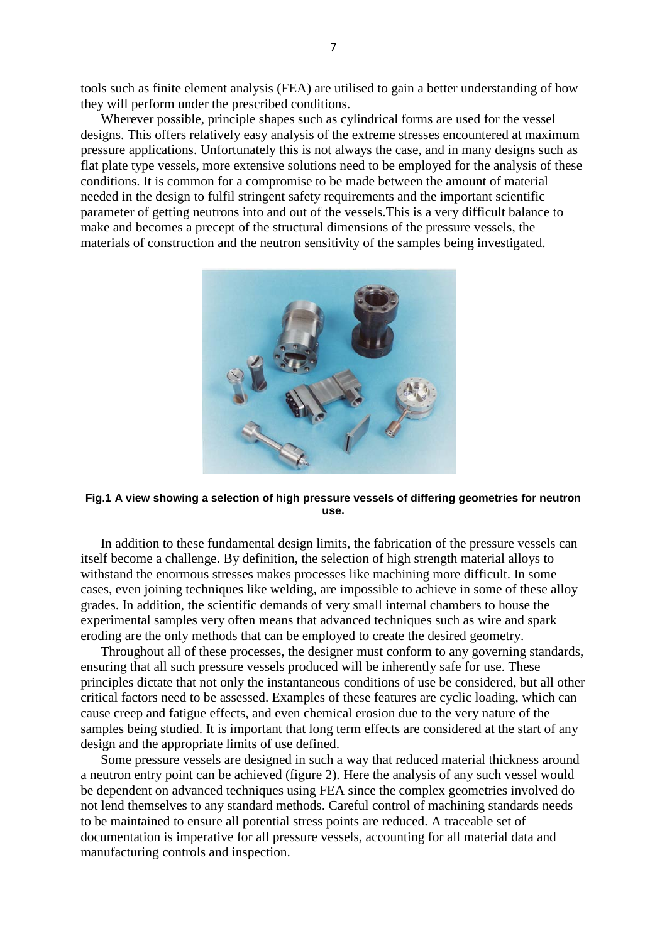tools such as finite element analysis (FEA) are utilised to gain a better understanding of how they will perform under the prescribed conditions.

Wherever possible, principle shapes such as cylindrical forms are used for the vessel designs. This offers relatively easy analysis of the extreme stresses encountered at maximum pressure applications. Unfortunately this is not always the case, and in many designs such as flat plate type vessels, more extensive solutions need to be employed for the analysis of these conditions. It is common for a compromise to be made between the amount of material needed in the design to fulfil stringent safety requirements and the important scientific parameter of getting neutrons into and out of the vessels.This is a very difficult balance to make and becomes a precept of the structural dimensions of the pressure vessels, the materials of construction and the neutron sensitivity of the samples being investigated.



#### **Fig.1 A view showing a selection of high pressure vessels of differing geometries for neutron use.**

In addition to these fundamental design limits, the fabrication of the pressure vessels can itself become a challenge. By definition, the selection of high strength material alloys to withstand the enormous stresses makes processes like machining more difficult. In some cases, even joining techniques like welding, are impossible to achieve in some of these alloy grades. In addition, the scientific demands of very small internal chambers to house the experimental samples very often means that advanced techniques such as wire and spark eroding are the only methods that can be employed to create the desired geometry.

Throughout all of these processes, the designer must conform to any governing standards, ensuring that all such pressure vessels produced will be inherently safe for use. These principles dictate that not only the instantaneous conditions of use be considered, but all other critical factors need to be assessed. Examples of these features are cyclic loading, which can cause creep and fatigue effects, and even chemical erosion due to the very nature of the samples being studied. It is important that long term effects are considered at the start of any design and the appropriate limits of use defined.

Some pressure vessels are designed in such a way that reduced material thickness around a neutron entry point can be achieved (figure 2). Here the analysis of any such vessel would be dependent on advanced techniques using FEA since the complex geometries involved do not lend themselves to any standard methods. Careful control of machining standards needs to be maintained to ensure all potential stress points are reduced. A traceable set of documentation is imperative for all pressure vessels, accounting for all material data and manufacturing controls and inspection.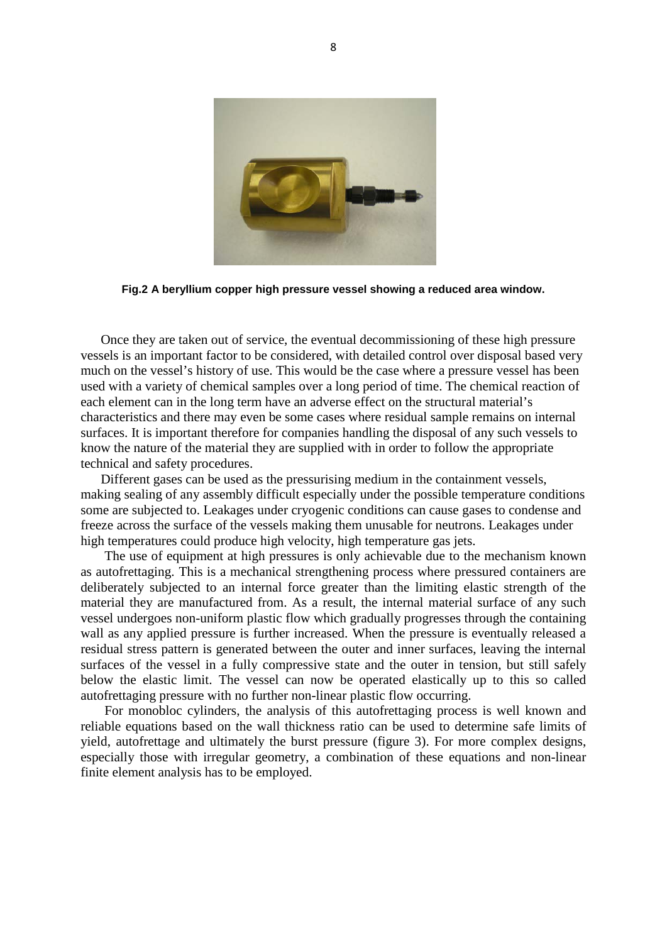

**Fig.2 A beryllium copper high pressure vessel showing a reduced area window.**

Once they are taken out of service, the eventual decommissioning of these high pressure vessels is an important factor to be considered, with detailed control over disposal based very much on the vessel's history of use. This would be the case where a pressure vessel has been used with a variety of chemical samples over a long period of time. The chemical reaction of each element can in the long term have an adverse effect on the structural material's characteristics and there may even be some cases where residual sample remains on internal surfaces. It is important therefore for companies handling the disposal of any such vessels to know the nature of the material they are supplied with in order to follow the appropriate technical and safety procedures.

Different gases can be used as the pressurising medium in the containment vessels, making sealing of any assembly difficult especially under the possible temperature conditions some are subjected to. Leakages under cryogenic conditions can cause gases to condense and freeze across the surface of the vessels making them unusable for neutrons. Leakages under high temperatures could produce high velocity, high temperature gas jets.

The use of equipment at high pressures is only achievable due to the mechanism known as autofrettaging. This is a mechanical strengthening process where pressured containers are deliberately subjected to an internal force greater than the limiting elastic strength of the material they are manufactured from. As a result, the internal material surface of any such vessel undergoes non-uniform plastic flow which gradually progresses through the containing wall as any applied pressure is further increased. When the pressure is eventually released a residual stress pattern is generated between the outer and inner surfaces, leaving the internal surfaces of the vessel in a fully compressive state and the outer in tension, but still safely below the elastic limit. The vessel can now be operated elastically up to this so called autofrettaging pressure with no further non-linear plastic flow occurring.

For monobloc cylinders, the analysis of this autofrettaging process is well known and reliable equations based on the wall thickness ratio can be used to determine safe limits of yield, autofrettage and ultimately the burst pressure (figure 3). For more complex designs, especially those with irregular geometry, a combination of these equations and non-linear finite element analysis has to be employed.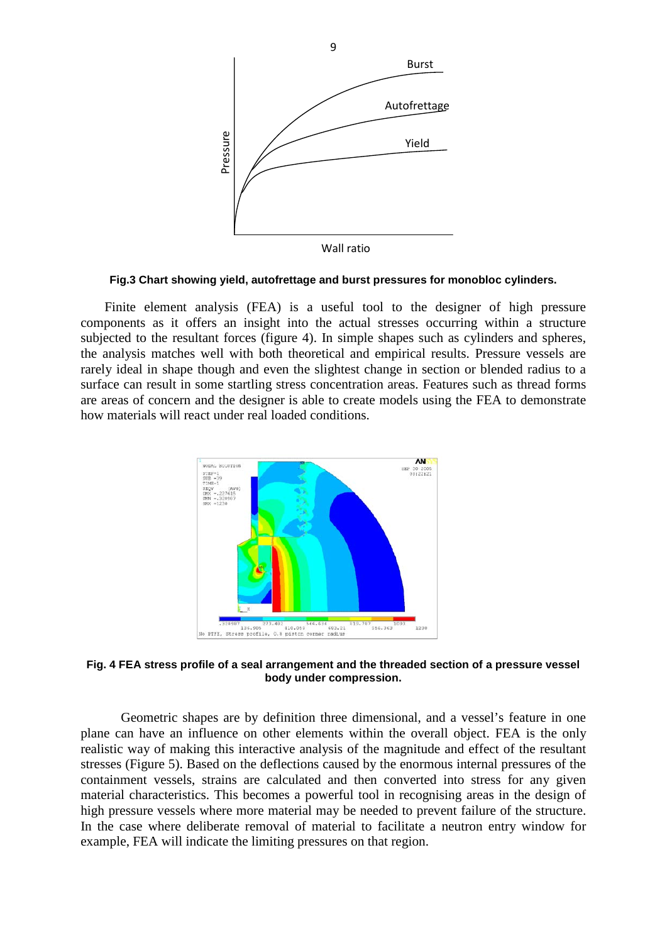

**Fig.3 Chart showing yield, autofrettage and burst pressures for monobloc cylinders.**

Finite element analysis (FEA) is a useful tool to the designer of high pressure components as it offers an insight into the actual stresses occurring within a structure subjected to the resultant forces (figure 4). In simple shapes such as cylinders and spheres, the analysis matches well with both theoretical and empirical results. Pressure vessels are rarely ideal in shape though and even the slightest change in section or blended radius to a surface can result in some startling stress concentration areas. Features such as thread forms are areas of concern and the designer is able to create models using the FEA to demonstrate how materials will react under real loaded conditions.



**Fig. 4 FEA stress profile of a seal arrangement and the threaded section of a pressure vessel body under compression.**

Geometric shapes are by definition three dimensional, and a vessel's feature in one plane can have an influence on other elements within the overall object. FEA is the only realistic way of making this interactive analysis of the magnitude and effect of the resultant stresses (Figure 5). Based on the deflections caused by the enormous internal pressures of the containment vessels, strains are calculated and then converted into stress for any given material characteristics. This becomes a powerful tool in recognising areas in the design of high pressure vessels where more material may be needed to prevent failure of the structure. In the case where deliberate removal of material to facilitate a neutron entry window for

9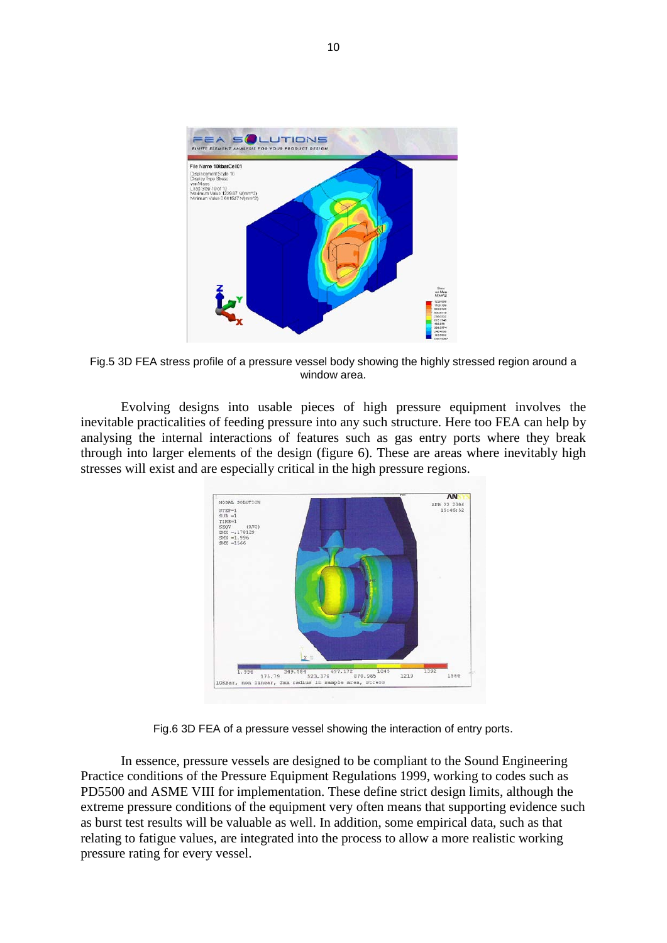

Fig.5 3D FEA stress profile of a pressure vessel body showing the highly stressed region around a window area.

Evolving designs into usable pieces of high pressure equipment involves the inevitable practicalities of feeding pressure into any such structure. Here too FEA can help by analysing the internal interactions of features such as gas entry ports where they break through into larger elements of the design (figure 6). These are areas where inevitably high stresses will exist and are especially critical in the high pressure regions.



Fig.6 3D FEA of a pressure vessel showing the interaction of entry ports.

In essence, pressure vessels are designed to be compliant to the Sound Engineering Practice conditions of the Pressure Equipment Regulations 1999, working to codes such as PD5500 and ASME VIII for implementation. These define strict design limits, although the extreme pressure conditions of the equipment very often means that supporting evidence such as burst test results will be valuable as well. In addition, some empirical data, such as that relating to fatigue values, are integrated into the process to allow a more realistic working pressure rating for every vessel.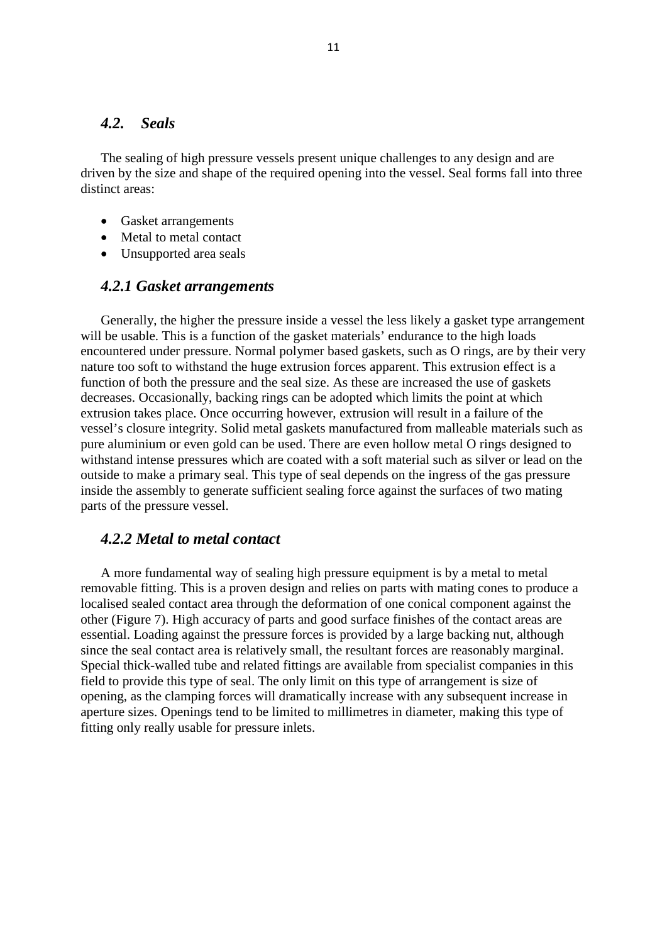## *4.2. Seals*

The sealing of high pressure vessels present unique challenges to any design and are driven by the size and shape of the required opening into the vessel. Seal forms fall into three distinct areas:

- Gasket arrangements
- Metal to metal contact
- Unsupported area seals

### *4.2.1 Gasket arrangements*

Generally, the higher the pressure inside a vessel the less likely a gasket type arrangement will be usable. This is a function of the gasket materials' endurance to the high loads encountered under pressure. Normal polymer based gaskets, such as O rings, are by their very nature too soft to withstand the huge extrusion forces apparent. This extrusion effect is a function of both the pressure and the seal size. As these are increased the use of gaskets decreases. Occasionally, backing rings can be adopted which limits the point at which extrusion takes place. Once occurring however, extrusion will result in a failure of the vessel's closure integrity. Solid metal gaskets manufactured from malleable materials such as pure aluminium or even gold can be used. There are even hollow metal O rings designed to withstand intense pressures which are coated with a soft material such as silver or lead on the outside to make a primary seal. This type of seal depends on the ingress of the gas pressure inside the assembly to generate sufficient sealing force against the surfaces of two mating parts of the pressure vessel.

## *4.2.2 Metal to metal contact*

A more fundamental way of sealing high pressure equipment is by a metal to metal removable fitting. This is a proven design and relies on parts with mating cones to produce a localised sealed contact area through the deformation of one conical component against the other (Figure 7). High accuracy of parts and good surface finishes of the contact areas are essential. Loading against the pressure forces is provided by a large backing nut, although since the seal contact area is relatively small, the resultant forces are reasonably marginal. Special thick-walled tube and related fittings are available from specialist companies in this field to provide this type of seal. The only limit on this type of arrangement is size of opening, as the clamping forces will dramatically increase with any subsequent increase in aperture sizes. Openings tend to be limited to millimetres in diameter, making this type of fitting only really usable for pressure inlets.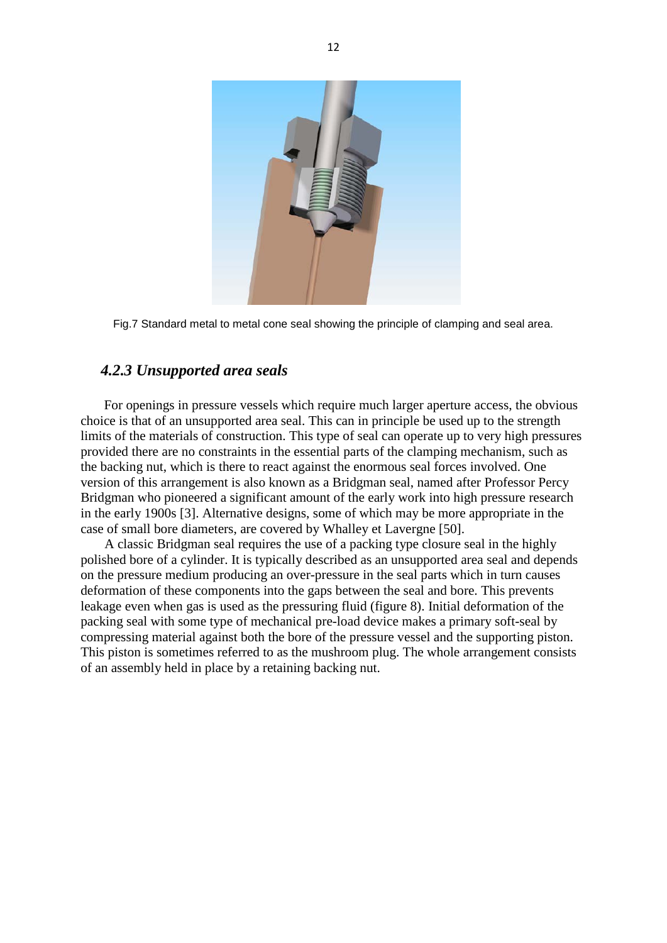

Fig.7 Standard metal to metal cone seal showing the principle of clamping and seal area.

# *4.2.3 Unsupported area seals*

For openings in pressure vessels which require much larger aperture access, the obvious choice is that of an unsupported area seal. This can in principle be used up to the strength limits of the materials of construction. This type of seal can operate up to very high pressures provided there are no constraints in the essential parts of the clamping mechanism, such as the backing nut, which is there to react against the enormous seal forces involved. One version of this arrangement is also known as a Bridgman seal, named after Professor Percy Bridgman who pioneered a significant amount of the early work into high pressure research in the early 1900s [3]. Alternative designs, some of which may be more appropriate in the case of small bore diameters, are covered by Whalley et Lavergne [50].

A classic Bridgman seal requires the use of a packing type closure seal in the highly polished bore of a cylinder. It is typically described as an unsupported area seal and depends on the pressure medium producing an over-pressure in the seal parts which in turn causes deformation of these components into the gaps between the seal and bore. This prevents leakage even when gas is used as the pressuring fluid (figure 8). Initial deformation of the packing seal with some type of mechanical pre-load device makes a primary soft-seal by compressing material against both the bore of the pressure vessel and the supporting piston. This piston is sometimes referred to as the mushroom plug. The whole arrangement consists of an assembly held in place by a retaining backing nut.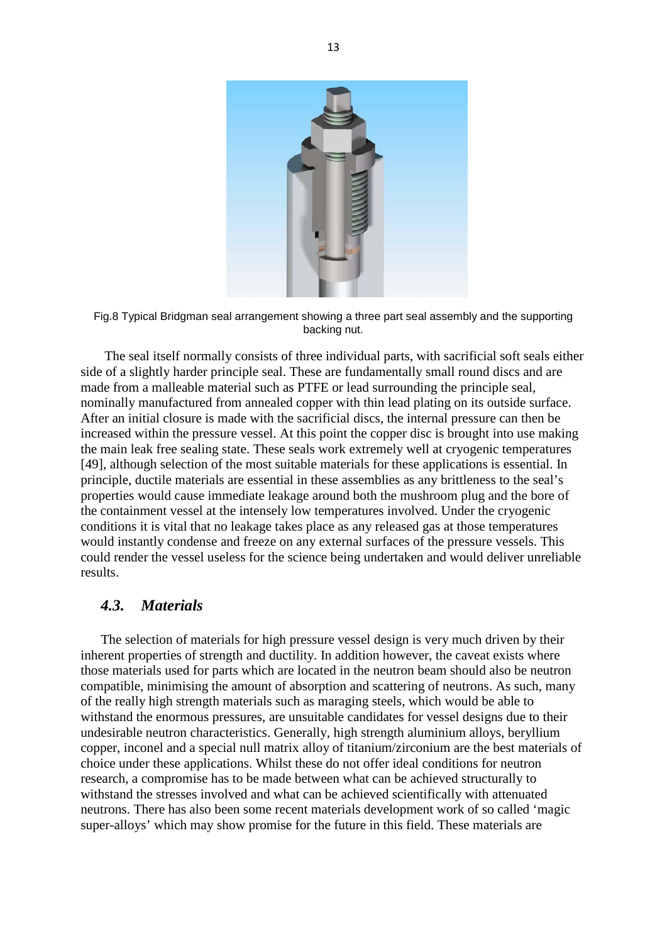

Fig.8 Typical Bridgman seal arrangement showing a three part seal assembly and the supporting backing nut.

The seal itself normally consists of three individual parts, with sacrificial soft seals either side of a slightly harder principle seal. These are fundamentally small round discs and are made from a malleable material such as PTFE or lead surrounding the principle seal, nominally manufactured from annealed copper with thin lead plating on its outside surface. After an initial closure is made with the sacrificial discs, the internal pressure can then be increased within the pressure vessel. At this point the copper disc is brought into use making the main leak free sealing state. These seals work extremely well at cryogenic temperatures [49], although selection of the most suitable materials for these applications is essential. In principle, ductile materials are essential in these assemblies as any brittleness to the seal's properties would cause immediate leakage around both the mushroom plug and the bore of the containment vessel at the intensely low temperatures involved. Under the cryogenic conditions it is vital that no leakage takes place as any released gas at those temperatures would instantly condense and freeze on any external surfaces of the pressure vessels. This could render the vessel useless for the science being undertaken and would deliver unreliable results.

## *4.3. Materials*

The selection of materials for high pressure vessel design is very much driven by their inherent properties of strength and ductility. In addition however, the caveat exists where those materials used for parts which are located in the neutron beam should also be neutron compatible, minimising the amount of absorption and scattering of neutrons. As such, many of the really high strength materials such as maraging steels, which would be able to withstand the enormous pressures, are unsuitable candidates for vessel designs due to their undesirable neutron characteristics. Generally, high strength aluminium alloys, beryllium copper, inconel and a special null matrix alloy of titanium/zirconium are the best materials of choice under these applications. Whilst these do not offer ideal conditions for neutron research, a compromise has to be made between what can be achieved structurally to withstand the stresses involved and what can be achieved scientifically with attenuated neutrons. There has also been some recent materials development work of so called 'magic super-alloys' which may show promise for the future in this field. These materials are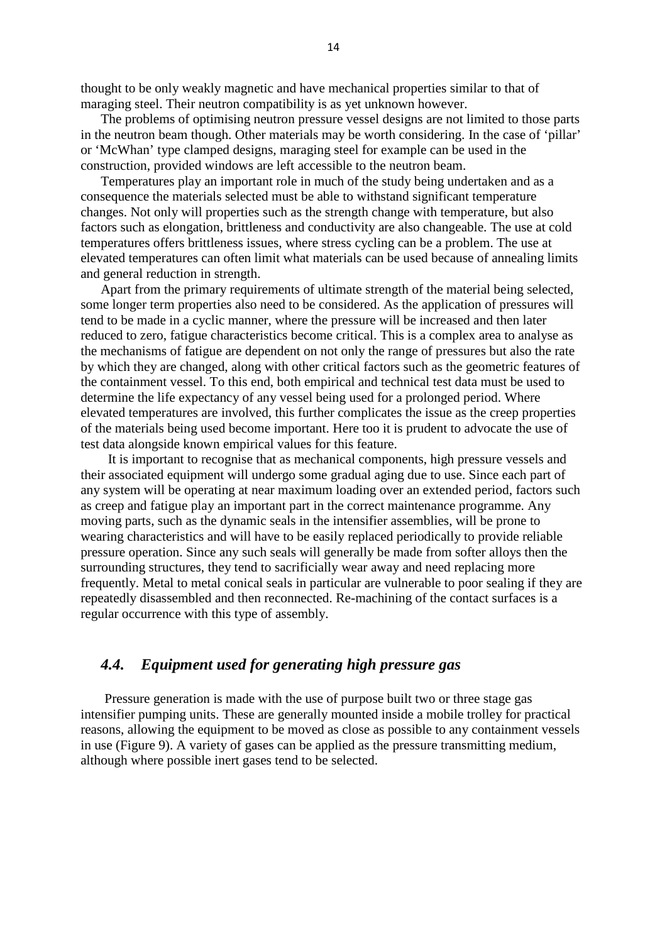thought to be only weakly magnetic and have mechanical properties similar to that of maraging steel. Their neutron compatibility is as yet unknown however.

The problems of optimising neutron pressure vessel designs are not limited to those parts in the neutron beam though. Other materials may be worth considering. In the case of 'pillar' or 'McWhan' type clamped designs, maraging steel for example can be used in the construction, provided windows are left accessible to the neutron beam.

Temperatures play an important role in much of the study being undertaken and as a consequence the materials selected must be able to withstand significant temperature changes. Not only will properties such as the strength change with temperature, but also factors such as elongation, brittleness and conductivity are also changeable. The use at cold temperatures offers brittleness issues, where stress cycling can be a problem. The use at elevated temperatures can often limit what materials can be used because of annealing limits and general reduction in strength.

Apart from the primary requirements of ultimate strength of the material being selected, some longer term properties also need to be considered. As the application of pressures will tend to be made in a cyclic manner, where the pressure will be increased and then later reduced to zero, fatigue characteristics become critical. This is a complex area to analyse as the mechanisms of fatigue are dependent on not only the range of pressures but also the rate by which they are changed, along with other critical factors such as the geometric features of the containment vessel. To this end, both empirical and technical test data must be used to determine the life expectancy of any vessel being used for a prolonged period. Where elevated temperatures are involved, this further complicates the issue as the creep properties of the materials being used become important. Here too it is prudent to advocate the use of test data alongside known empirical values for this feature.

It is important to recognise that as mechanical components, high pressure vessels and their associated equipment will undergo some gradual aging due to use. Since each part of any system will be operating at near maximum loading over an extended period, factors such as creep and fatigue play an important part in the correct maintenance programme. Any moving parts, such as the dynamic seals in the intensifier assemblies, will be prone to wearing characteristics and will have to be easily replaced periodically to provide reliable pressure operation. Since any such seals will generally be made from softer alloys then the surrounding structures, they tend to sacrificially wear away and need replacing more frequently. Metal to metal conical seals in particular are vulnerable to poor sealing if they are repeatedly disassembled and then reconnected. Re-machining of the contact surfaces is a regular occurrence with this type of assembly.

# *4.4. Equipment used for generating high pressure gas*

Pressure generation is made with the use of purpose built two or three stage gas intensifier pumping units. These are generally mounted inside a mobile trolley for practical reasons, allowing the equipment to be moved as close as possible to any containment vessels in use (Figure 9). A variety of gases can be applied as the pressure transmitting medium, although where possible inert gases tend to be selected.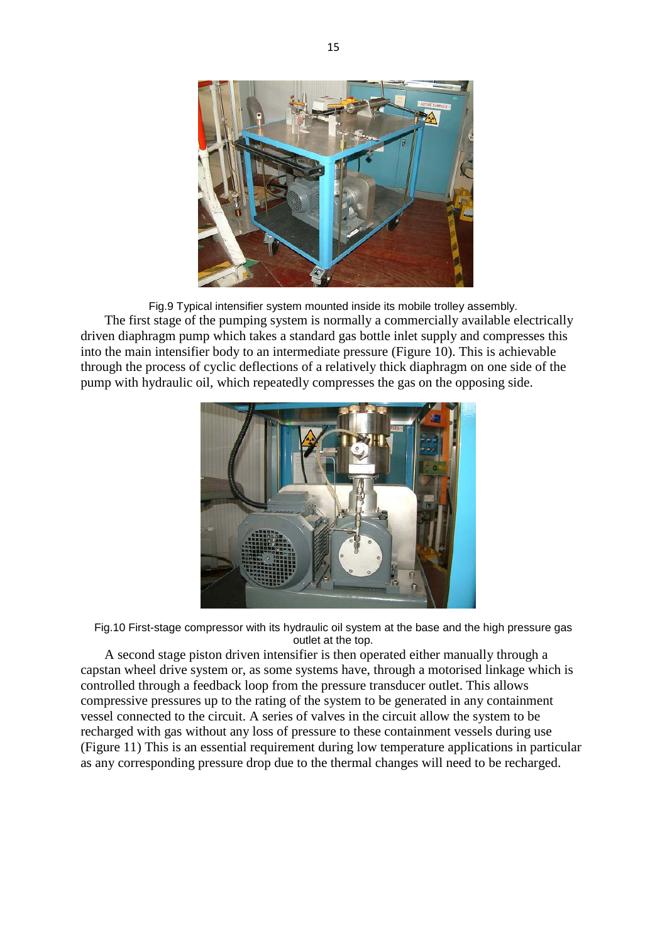

Fig.9 Typical intensifier system mounted inside its mobile trolley assembly. The first stage of the pumping system is normally a commercially available electrically driven diaphragm pump which takes a standard gas bottle inlet supply and compresses this into the main intensifier body to an intermediate pressure (Figure 10). This is achievable through the process of cyclic deflections of a relatively thick diaphragm on one side of the pump with hydraulic oil, which repeatedly compresses the gas on the opposing side.



Fig.10 First-stage compressor with its hydraulic oil system at the base and the high pressure gas outlet at the top.

A second stage piston driven intensifier is then operated either manually through a capstan wheel drive system or, as some systems have, through a motorised linkage which is controlled through a feedback loop from the pressure transducer outlet. This allows compressive pressures up to the rating of the system to be generated in any containment vessel connected to the circuit. A series of valves in the circuit allow the system to be recharged with gas without any loss of pressure to these containment vessels during use (Figure 11) This is an essential requirement during low temperature applications in particular as any corresponding pressure drop due to the thermal changes will need to be recharged.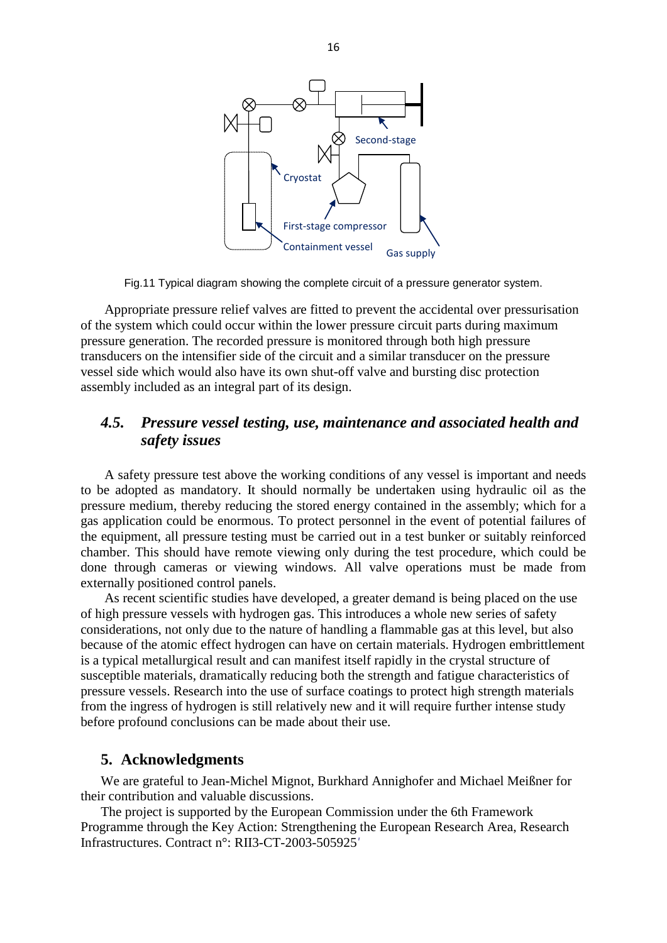

Fig.11 Typical diagram showing the complete circuit of a pressure generator system.

Appropriate pressure relief valves are fitted to prevent the accidental over pressurisation of the system which could occur within the lower pressure circuit parts during maximum pressure generation. The recorded pressure is monitored through both high pressure transducers on the intensifier side of the circuit and a similar transducer on the pressure vessel side which would also have its own shut-off valve and bursting disc protection assembly included as an integral part of its design.

# *4.5. Pressure vessel testing, use, maintenance and associated health and safety issues*

A safety pressure test above the working conditions of any vessel is important and needs to be adopted as mandatory. It should normally be undertaken using hydraulic oil as the pressure medium, thereby reducing the stored energy contained in the assembly; which for a gas application could be enormous. To protect personnel in the event of potential failures of the equipment, all pressure testing must be carried out in a test bunker or suitably reinforced chamber. This should have remote viewing only during the test procedure, which could be done through cameras or viewing windows. All valve operations must be made from externally positioned control panels.

As recent scientific studies have developed, a greater demand is being placed on the use of high pressure vessels with hydrogen gas. This introduces a whole new series of safety considerations, not only due to the nature of handling a flammable gas at this level, but also because of the atomic effect hydrogen can have on certain materials. Hydrogen embrittlement is a typical metallurgical result and can manifest itself rapidly in the crystal structure of susceptible materials, dramatically reducing both the strength and fatigue characteristics of pressure vessels. Research into the use of surface coatings to protect high strength materials from the ingress of hydrogen is still relatively new and it will require further intense study before profound conclusions can be made about their use.

# **5. Acknowledgments**

We are grateful to Jean-Michel Mignot, Burkhard Annighofer and Michael Meißner for their contribution and valuable discussions.

The project is supported by the European Commission under the 6th Framework Programme through the Key Action: Strengthening the European Research Area, Research Infrastructures. Contract n°: RII3-CT-2003-505925*'*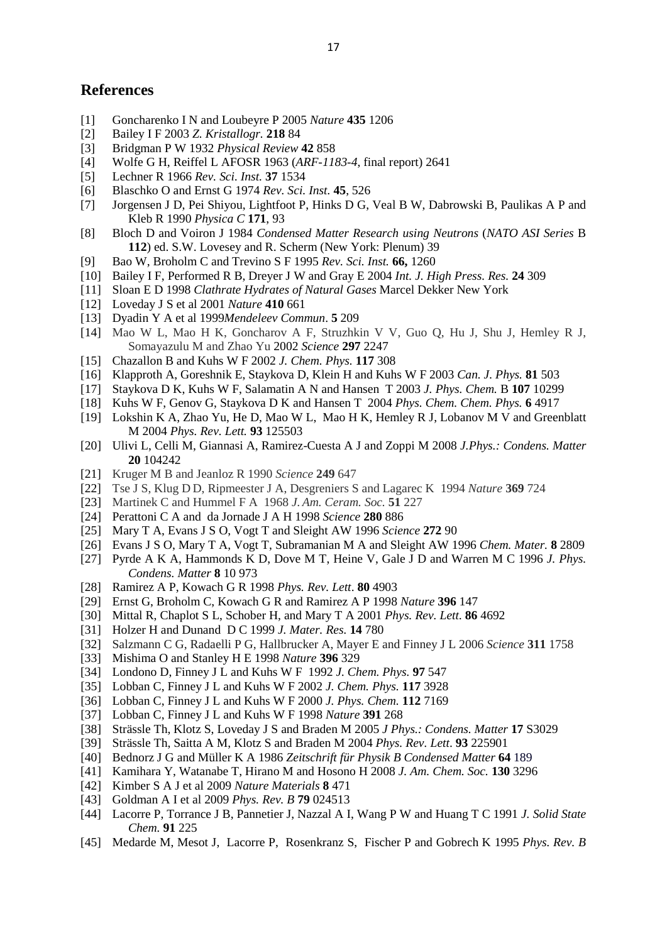### **References**

- [1] Goncharenko I N and Loubeyre P 2005 *Nature* **435** 1206
- [2] Bailey I F 2003 *Z. Kristallogr.* **218** 84
- [3] Bridgman P W 1932 *Physical Review* **42** 858
- [4] Wolfe G H, Reiffel L AFOSR 1963 (*ARF-1183-4*, final report) 2641
- [5] Lechner R 1966 *Rev. Sci. Inst.* **37** 1534
- [6] Blaschko O and Ernst G 1974 *Rev. Sci. Inst.* **45**, 526
- [7] Jorgensen J D, Pei Shiyou, Lightfoot P, Hinks D G, Veal B W, Dabrowski B, Paulikas A P and Kleb R 1990 *Physica C* **171**, 93
- [8] Bloch D and Voiron J 1984 *Condensed Matter Research using Neutrons* (*NATO ASI Series* B **112**) ed. S.W. Lovesey and R. Scherm (New York: Plenum) 39
- [9] Bao W, Broholm C and Trevino S F 1995 *Rev. Sci. Inst.* **66,** 1260
- [10] Bailey I F, Performed R B, Dreyer J W and Gray E 2004 *Int. J. High Press. Res.* **24** 309
- [11] Sloan E D 1998 *Clathrate Hydrates of Natural Gases* Marcel Dekker New York
- [12] Loveday J S et al 2001 *Nature* **410** 661
- [13] Dyadin Y A et al 1999*Mendeleev Commun*. **5** 209
- [14] Mao W L, Mao H K, Goncharov A F, Struzhkin V V, Guo Q, Hu J, Shu J, Hemley R J, Somayazulu M and Zhao Yu 2002 *Science* **297** 2247
- [15] Chazallon B and Kuhs W F 2002 *J. Chem. Phys.* **117** 308
- [16] Klapproth A, Goreshnik E, Staykova D, Klein H and Kuhs W F 2003 *Can. J. Phys.* **81** 503
- [17] Staykova D K, Kuhs W F, Salamatin A N and Hansen T 2003 *J. Phys. Chem.* B **107** 10299
- [18] Kuhs W F, Genov G, Staykova D K and Hansen T 2004 *Phys. Chem. Chem. Phys.* **6** 4917
- [19] Lokshin K A, Zhao Yu, He D, Mao W L, Mao H K, Hemley R J, Lobanov M V and Greenblatt M 2004 *Phys. Rev. Lett.* **93** 125503
- [20] Ulivi L, Celli M, Giannasi A, Ramirez-Cuesta A J and Zoppi M 2008 *J.Phys.: Condens. Matter* **20** 104242
- [21] Kruger M B and Jeanloz R 1990 *Science* **249** 647
- [22] Tse J S, Klug D D, Ripmeester J A, Desgreniers S and Lagarec K 1994 *Nature* **369** 724
- [23] Martinek C and Hummel F A 1968 *J.Am. Ceram. Soc.* **51** 227
- [24] Perattoni C A and da Jornade J A H 1998 *Science* **280** 886
- [25] Mary T A, Evans J S O, Vogt T and Sleight AW 1996 *Science* **272** 90
- [26] Evans J S O, Mary T A, Vogt T, Subramanian M A and Sleight AW 1996 *Chem. Mater.* **8** 2809
- [27] Pyrde A K A, Hammonds K D, Dove M T, Heine V, Gale J D and Warren M C 1996 *J. Phys. Condens. Matter* **8** 10 973
- [28] Ramirez A P, Kowach G R 1998 *Phys. Rev. Lett*. **80** 4903
- [29] Ernst G, Broholm C, Kowach G R and Ramirez A P 1998 *Nature* **396** 147
- [30] Mittal R, Chaplot S L, Schober H, and Mary T A 2001 *Phys. Rev. Lett.* **86** 4692
- [31] Holzer H and Dunand D C 1999 *J. Mater. Res.* **14** 780
- [32] Salzmann C G, Radaelli P G, Hallbrucker A, Mayer E and Finney J L 2006 *Science* **311** 1758
- [33] Mishima O and Stanley H E 1998 *Nature* **396** 329
- [34] Londono D, Finney J L and Kuhs W F 1992 *J. Chem. Phys.* **97** 547
- [35] Lobban C, Finney J L and Kuhs W F 2002 *J. Chem. Phys.* **117** 3928
- [36] Lobban C, Finney J L and Kuhs W F 2000 *J. Phys. Chem.* **112** 7169
- [37] Lobban C, Finney J L and Kuhs W F 1998 *Nature* **391** 268
- [38] Strässle Th, Klotz S, Loveday J S and Braden M 2005 *J Phys.: Condens. Matter* **17** S3029
- [39] Strässle Th, Saitta A M, Klotz S and Braden M 2004 *Phys. Rev. Lett*. **93** 225901
- [40] Bednorz J G and Müller K A 1986 *Zeitschrift für Physik B Condensed Matter* **64** 189
- [41] Kamihara Y, Watanabe T, Hirano M and Hosono H 2008 *J. Am. Chem. Soc.* **130** 3296
- [42] Kimber S A J et al 2009 *[Nature Materials](http://www.nature.com/nmat/index.html)* **8** 471
- [43] Goldman A I et al 2009 *Phys. Rev. B* **79** 024513
- [44] Lacorre P, Torrance J B, Pannetier J, Nazzal A I, Wang P W and Huang T C 1991 *J. Solid State Chem.* **91** 225
- [45] [Medarde](http://prola.aps.org/search/field/author/Medarde_M) M, [Mesot](http://prola.aps.org/search/field/author/Mesot_J) J, [Lacorre](http://prola.aps.org/search/field/author/Lacorre_P) P, [Rosenkranz](http://prola.aps.org/search/field/author/Rosenkranz_S) S, [Fischer](http://prola.aps.org/search/field/author/Fischer_P) P and Gobrech K 1995 *Phys. Rev. B*